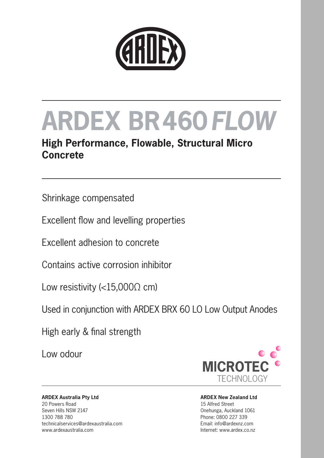

# **ARDEX BR460***FLOW*

### **High Performance, Flowable, Structural Micro Concrete**

Shrinkage compensated

Excellent flow and levelling properties

Excellent adhesion to concrete

Contains active corrosion inhibitor

Low resistivity (<15,000 $\Omega$  cm)

Used in conjunction with ARDEX BRX 60 LO Low Output Anodes

High early & final strength

Low odour



#### **ARDEX Australia Pty Ltd** 20 Powers Road Seven Hills NSW 2147 1300 788 780 technicalservices@ardexaustralia.com www.ardexaustralia.com

#### **ARDEX New Zealand Ltd** 15 Alfred Street Onehunga, Auckland 1061 Phone: 0800 227 339 Email: info@ardexnz.com Internet: www.ardex.co.nz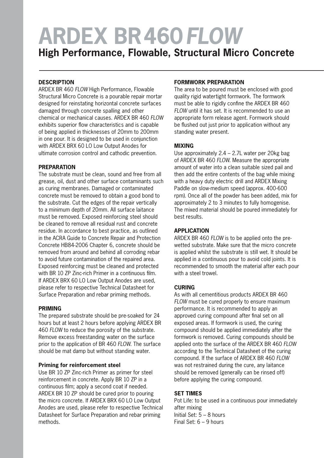## **ARDEX BR460***FLOW*

**High Performance, Flowable, Structural Micro Concrete**

### **DESCRIPTION**

ARDEX BR 460 *FLOW* High Performance, Flowable Structural Micro Concrete is a pourable repair mortar designed for reinstating horizontal concrete surfaces damaged through concrete spalling and other chemical or mechanical causes. ARDEX BR 460 *FLOW* exhibits superior flow characteristics and is capable of being applied in thicknesses of 20mm to 200mm in one pour. It is designed to be used in conjunction with ARDEX BRX 60 LO Low Output Anodes for ultimate corrosion control and cathodic prevention.

### **PREPARATION**

The substrate must be clean, sound and free from all grease, oil, dust and other surface contaminants such as curing membranes. Damaged or contaminated concrete must be removed to obtain a good bond to the substrate. Cut the edges of the repair vertically to a minimum depth of 20mm. All surface laitance must be removed. Exposed reinforcing steel should be cleaned to remove all residual rust and concrete residue. In accordance to best practice, as outlined in the ACRA Guide to Concrete Repair and Protection Concrete HB84-2006 Chapter 6, concrete should be removed from around and behind all corroding rebar to avoid future contamination of the repaired area. Exposed reinforcing must be cleaned and protected with BR 10 ZP Zinc-rich Primer in a continuous film. If ARDEX BRX 60 LO Low Output Anodes are used, please refer to respective Technical Datasheet for Surface Preparation and rebar priming methods.

### **PRIMING**

The prepared substrate should be pre-soaked for 24 hours but at least 2 hours before applying ARDEX BR 460 *FLOW* to reduce the porosity of the substrate. Remove excess freestanding water on the surface prior to the application of BR 460 *FLOW*. The surface should be mat damp but without standing water.

### **Priming for reinforcement steel**

Use BR 10 ZP Zinc-rich Primer as primer for steel reinforcement in concrete. Apply BR 10 ZP in a continuous film; apply a second coat if needed. ARDEX BR 10 ZP should be cured prior to pouring the micro concrete. If ARDEX BRX 60 LO Low Output Anodes are used, please refer to respective Technical Datasheet for Surface Preparation and rebar priming methods.

### **FORMWORK PREPARATION**

The area to be poured must be enclosed with good quality rigid watertight formwork. The formwork must be able to rigidly confine the ARDEX BR 460 *FLOW* until it has set. It is recommended to use an appropriate form release agent. Formwork should be flushed out just prior to application without any standing water present.

### **MIXING**

Use approximately 2.4 – 2.7L water per 20kg bag of ARDEX BR 460 *FLOW*. Measure the appropriate amount of water into a clean suitable sized pail and then add the entire contents of the bag while mixing with a heavy duty electric drill and ARDEX Mixing Paddle on slow-medium speed (approx. 400-600 rpm). Once all of the powder has been added, mix for approximately 2 to 3 minutes to fully homogenise. The mixed material should be poured immediately for best results.

### **APPLICATION**

ARDEX BR 460 *FLOW* is to be applied onto the prewetted substrate. Make sure that the micro concrete is applied whilst the substrate is still wet. It should be applied in a continuous pour to avoid cold joints. It is recommended to smooth the material after each pour with a steel trowel.

### **CURING**

As with all cementitious products ARDEX BR 460 *FLOW* must be cured properly to ensure maximum performance. It is recommended to apply an approved curing compound after final set on all exposed areas. If formwork is used, the curing compound should be applied immediately after the formwork is removed. Curing compounds should be applied onto the surface of the ARDEX BR 460 *FLOW* according to the Technical Datasheet of the curing compound. If the surface of ARDEX BR 460 *FLOW* was not restrained during the cure, any laitance should be removed (generally can be rinsed off) before applying the curing compound.

### **SET TIMES**

Pot Life: to be used in a continuous pour immediately after mixing Initial Set: 5 – 8 hours Final Set: 6 – 9 hours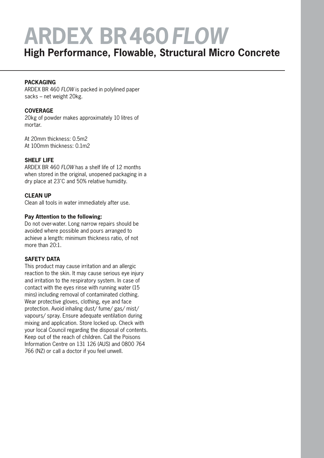## **ARDEX BR460***FLOW*

### **High Performance, Flowable, Structural Micro Concrete**

### **PACKAGING**

ARDEX BR 460 *FLOW* is packed in polylined paper sacks – net weight 20kg.

### **COVERAGE**

20kg of powder makes approximately 10 litres of mortar.

At 20mm thickness: 0.5m2 At 100mm thickness: 0.1m2

### **SHELF LIFE**

ARDEX BR 460 *FLOW* has a shelf life of 12 months when stored in the original, unopened packaging in a dry place at 23˚C and 50% relative humidity.

### **CLEAN UP**

Clean all tools in water immediately after use.

### **Pay Attention to the following:**

Do not over-water. Long narrow repairs should be avoided where possible and pours arranged to achieve a length: minimum thickness ratio, of not more than 20:1.

### **SAFETY DATA**

This product may cause irritation and an allergic reaction to the skin. It may cause serious eye injury and irritation to the respiratory system. In case of contact with the eyes rinse with running water (15 mins) including removal of contaminated clothing. Wear protective gloves, clothing, eye and face protection. Avoid inhaling dust/ fume/ gas/ mist/ vapours/ spray. Ensure adequate ventilation during mixing and application. Store locked up. Check with your local Council regarding the disposal of contents. Keep out of the reach of children. Call the Poisons Information Centre on 131 126 (AUS) and 0800 764 766 (NZ) or call a doctor if you feel unwell.